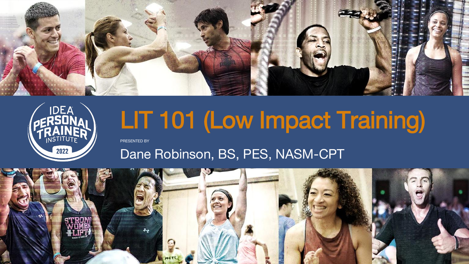



#### PRESENTED BY LIT 101 (Low Impact Training)

## Dane Robinson, BS, PES, NASM-CPT

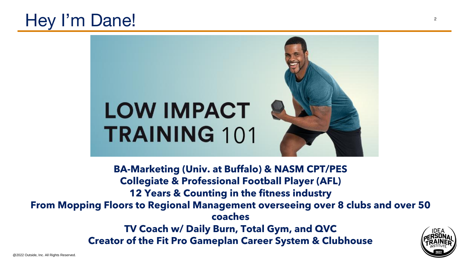

#### Hey I'm Dane!

#### LOW IMPACT TRAINING 101

**12 Years & Counting in the fitness industry From Mopping Floors to Regional Management overseeing over 8 clubs and over 50** 

- **BA-Marketing (Univ. at Buffalo) & NASM CPT/PES Collegiate & Professional Football Player (AFL)**
	-
	- **coaches**
	- **TV Coach w/ Daily Burn, Total Gym, and QVC**
- **Creator of the Fit Pro Gameplan Career System & Clubhouse**

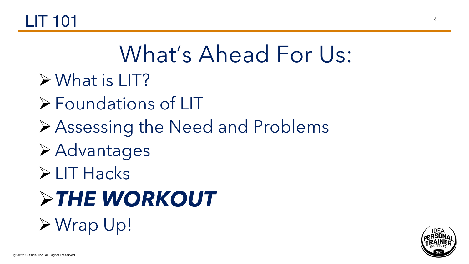#### $\blacksquare$ T 101  $\blacksquare$

#### What's Ahead For Us: ➢What is LIT? ➢Foundations of LIT ➢Assessing the Need and Problems ➢Advantages ➢LIT Hacks ➢*THE WORKOUT* ➢Wrap Up!

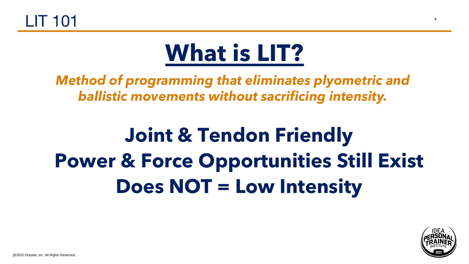

#### **Joint & Tendon Friendly Power & Force Opportunities Still Exist Does NOT = Low Intensity**

@2022 Outside, Inc. All Rights Reserved.

## **What is LIT?**

*Method of programming that eliminates plyometric and ballistic movements without sacrificing intensity.*

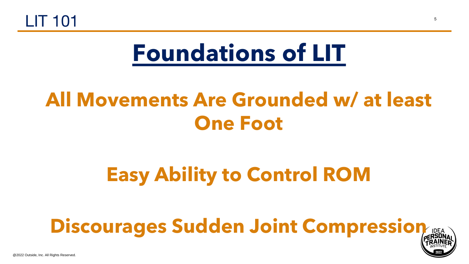@2022 Outside, Inc. All Rights Reserved.





#### **All Movements Are Grounded w/ at least One Foot**

#### **Easy Ability to Control ROM**

## **Discourages Sudden Joint Compression**

## **Foundations of LIT**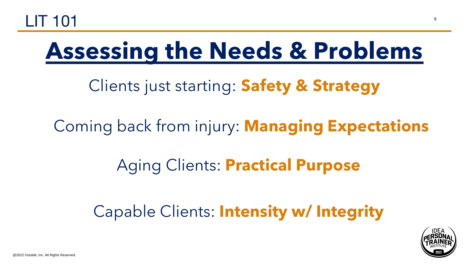

#### **Assessing the Needs & Problems**

Clients just starting: **Safety & Strategy**

@2022 Outside, Inc. All Rights Reserved.

#### Coming back from injury: **Managing Expectations**

#### Aging Clients: **Practical Purpose**

#### Capable Clients: **Intensity w/ Integrity**

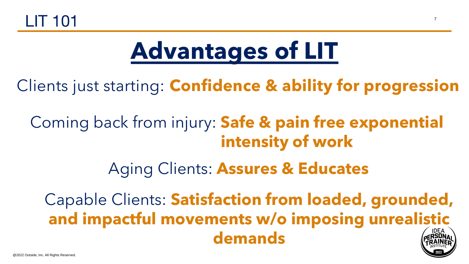



## **Advantages of LIT**

- Clients just starting: **Confidence & ability for progression**
	- Coming back from injury: **Safe & pain free exponential intensity of work**
		- Aging Clients: **Assures & Educates**





Capable Clients: **Satisfaction from loaded, grounded, and impactful movements w/o imposing unrealistic IDEA**<br>RSON **demands**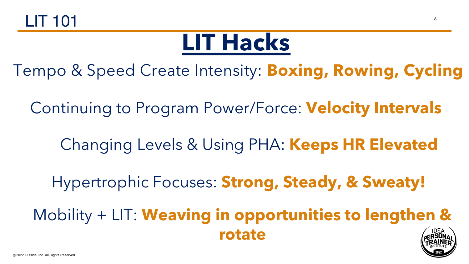



#### **LIT Hacks**





Tempo & Speed Create Intensity: **Boxing, Rowing, Cycling**

Continuing to Program Power/Force: **Velocity Intervals**

Hypertrophic Focuses: **Strong, Steady, & Sweaty!**

Mobility + LIT: **Weaving in opportunities to lengthen & rotate**

Changing Levels & Using PHA: **Keeps HR Elevated**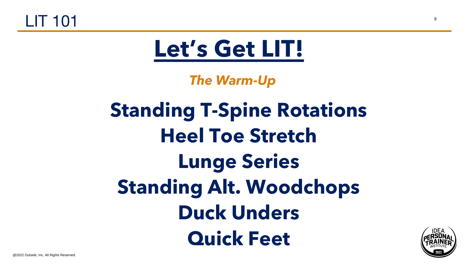

#### **Standing T-Spine Rotations Heel Toe Stretch Lunge Series Standing Alt. Woodchops Duck Unders Quick Feet**

@2022 Outside, Inc. All Rights Reserved.



*The Warm-Up*

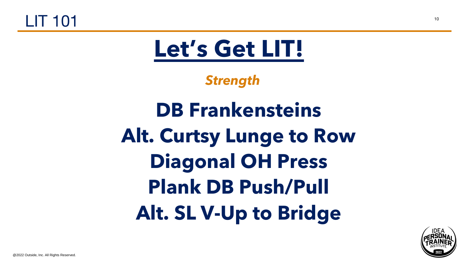

**DB Frankensteins Alt. Curtsy Lunge to Row Diagonal OH Press Plank DB Push/Pull Alt. SL V-Up to Bridge**

@2022 Outside, Inc. All Rights Reserved.



*Strength*

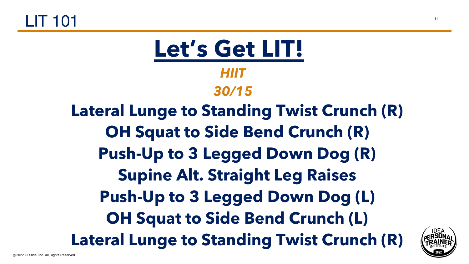



- 
- **Push-Up to 3 Legged Down Dog (R)**
	- **Supine Alt. Straight Leg Raises**
- **Push-Up to 3 Legged Down Dog (L)**
- **OH Squat to Side Bend Crunch (L)**
- **Lateral Lunge to Standing Twist Crunch (R)**
- *HIIT*
- *30/15*
- **Lateral Lunge to Standing Twist Crunch (R) OH Squat to Side Bend Crunch (R)**



**Let's Get LIT!**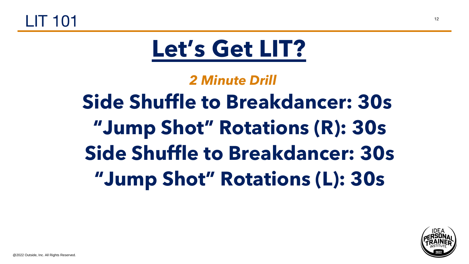



# **"Jump Shot" Rotations (L): 30s**

@2022 Outside, Inc. All Rights Reserved.

- *2 Minute Drill*
- **Side Shuffle to Breakdancer: 30s**
	- **"Jump Shot" Rotations (R): 30s**
- **Side Shuffle to Breakdancer: 30s**



#### **Let's Get LIT?**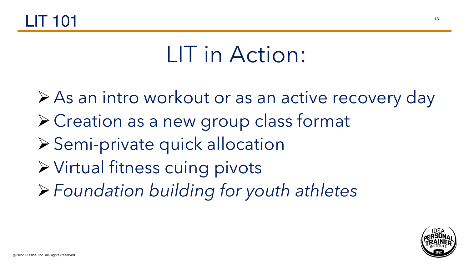LIT in Action:



#### $LIT 101$

➢As an intro workout or as an active recovery day ➢Creation as a new group class format ➢Semi-private quick allocation ➢Virtual fitness cuing pivots ➢*Foundation building for youth athletes*